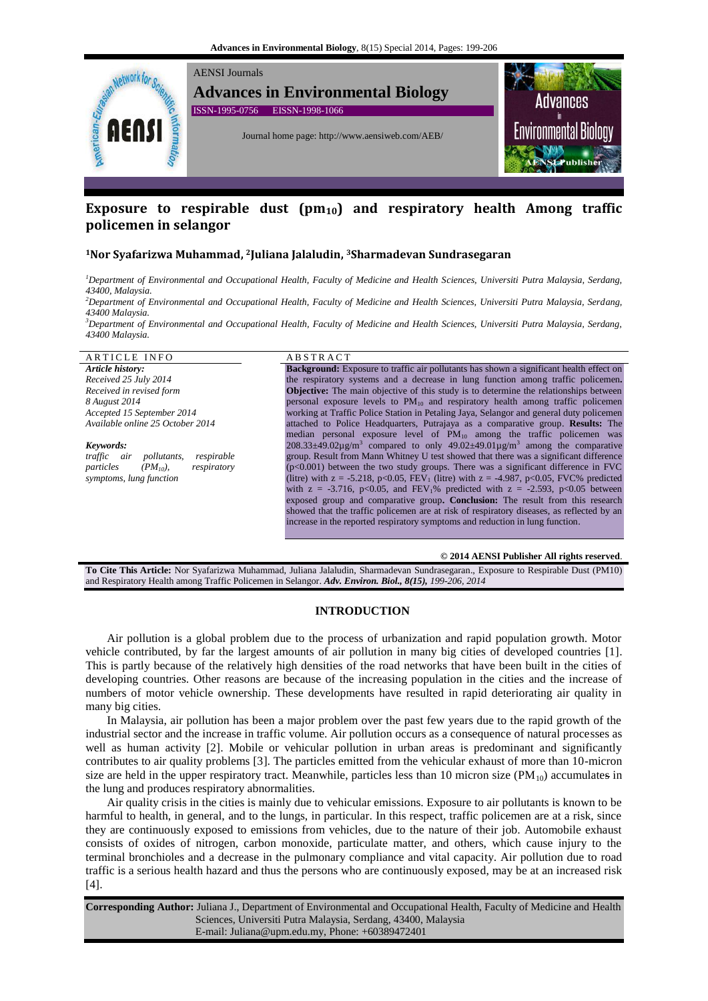

# **Exposure to respirable dust (pm10) and respiratory health Among traffic policemen in selangor**

# **<sup>1</sup>Nor Syafarizwa Muhammad, <sup>2</sup>Juliana Jalaludin, <sup>3</sup>Sharmadevan Sundrasegaran**

*<sup>1</sup>Department of Environmental and Occupational Health, Faculty of Medicine and Health Sciences, Universiti Putra Malaysia, Serdang, 43400, Malaysia.*

*<sup>2</sup>Department of Environmental and Occupational Health, Faculty of Medicine and Health Sciences, Universiti Putra Malaysia, Serdang, 43400 Malaysia.*

*<sup>3</sup>Department of Environmental and Occupational Health, Faculty of Medicine and Health Sciences, Universiti Putra Malaysia, Serdang, 43400 Malaysia.*

# ARTICLE INFO ABSTRACT

*Article history: Received 25 July 2014 Received in revised form 8 August 2014 Accepted 15 September 2014 Available online 25 October 2014*

*Keywords: traffic air pollutants, respirable particles (PM10), respiratory symptoms, lung function*

**Background:** Exposure to traffic air pollutants has shown a significant health effect on the respiratory systems and a decrease in lung function among traffic policemen**. Objective:** The main objective of this study is to determine the relationships between personal exposure levels to  $PM_{10}$  and respiratory health among traffic policemen working at Traffic Police Station in Petaling Jaya, Selangor and general duty policemen attached to Police Headquarters, Putrajaya as a comparative group. **Results:** The median personal exposure level of  $PM_{10}$  among the traffic policemen was  $208.33\pm49.02\mu$ g/m<sup>3</sup> compared to only  $49.02\pm49.01\mu$ g/m<sup>3</sup> among the comparative group. Result from Mann Whitney U test showed that there was a significant difference (p<0.001) between the two study groups. There was a significant difference in FVC (litre) with  $z = -5.218$ , p<0.05, FEV<sub>1</sub> (litre) with  $z = -4.987$ , p<0.05, FVC% predicted with  $z = -3.716$ , p<0.05, and FEV<sub>1</sub>% predicted with  $z = -2.593$ , p<0.05 between exposed group and comparative group**. Conclusion:** The result from this research showed that the traffic policemen are at risk of respiratory diseases, as reflected by an increase in the reported respiratory symptoms and reduction in lung function.

# **© 2014 AENSI Publisher All rights reserved**.

**To Cite This Article:** Nor Syafarizwa Muhammad, Juliana Jalaludin, Sharmadevan Sundrasegaran., Exposure to Respirable Dust (PM10) and Respiratory Health among Traffic Policemen in Selangor. *Adv. Environ. Biol., 8(15), 199-206, 2014*

# **INTRODUCTION**

Air pollution is a global problem due to the process of urbanization and rapid population growth. Motor vehicle contributed, by far the largest amounts of air pollution in many big cities of developed countries [1]. This is partly because of the relatively high densities of the road networks that have been built in the cities of developing countries. Other reasons are because of the increasing population in the cities and the increase of numbers of motor vehicle ownership. These developments have resulted in rapid deteriorating air quality in many big cities.

In Malaysia, air pollution has been a major problem over the past few years due to the rapid growth of the industrial sector and the increase in traffic volume. Air pollution occurs as a consequence of natural processes as well as human activity [2]. Mobile or vehicular pollution in urban areas is predominant and significantly contributes to air quality problems [3]. The particles emitted from the vehicular exhaust of more than 10-micron size are held in the upper respiratory tract. Meanwhile, particles less than 10 micron size  $(PM_{10})$  accumulates in the lung and produces respiratory abnormalities.

Air quality crisis in the cities is mainly due to vehicular emissions. Exposure to air pollutants is known to be harmful to health, in general, and to the lungs, in particular. In this respect, traffic policemen are at a risk, since they are continuously exposed to emissions from vehicles, due to the nature of their job. Automobile exhaust consists of oxides of nitrogen, carbon monoxide, particulate matter, and others, which cause injury to the terminal bronchioles and a decrease in the pulmonary compliance and vital capacity. Air pollution due to road traffic is a serious health hazard and thus the persons who are continuously exposed, may be at an increased risk [4].

**Corresponding Author:** Juliana J., Department of Environmental and Occupational Health, Faculty of Medicine and Health Sciences, Universiti Putra Malaysia, Serdang, 43400, Malaysia E-mail: Juliana@upm.edu.my, Phone: +60389472401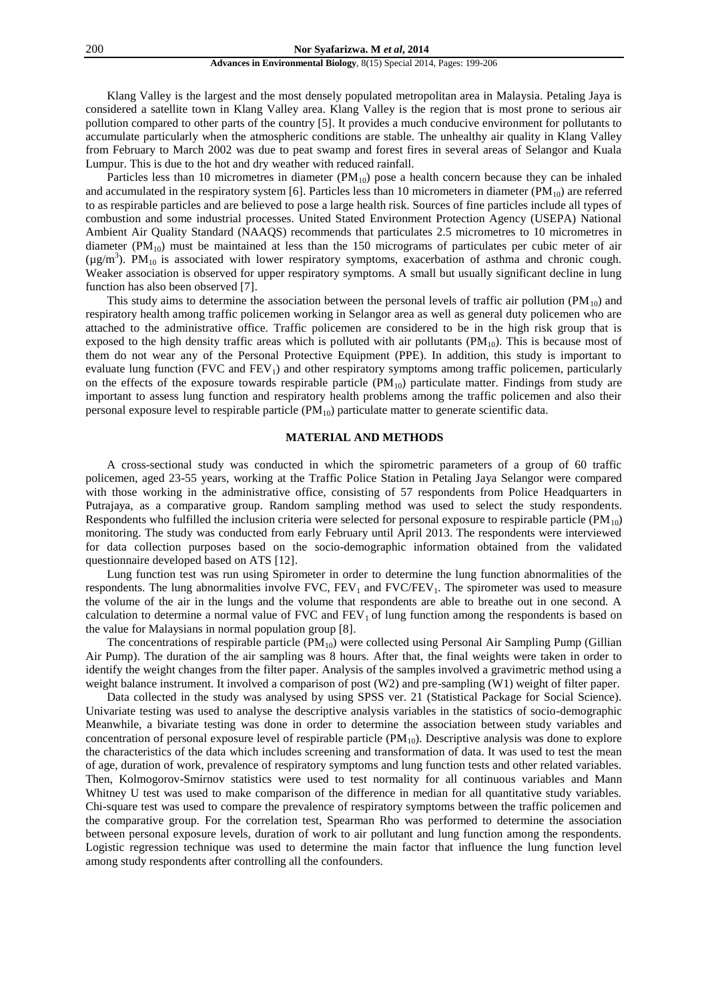#### 200 **Nor Syafarizwa. M** *et al***, 2014**

# **Advances in Environmental Biology**, 8(15) Special 2014, Pages: 199-206

Klang Valley is the largest and the most densely populated metropolitan area in Malaysia. Petaling Jaya is considered a satellite town in Klang Valley area. Klang Valley is the region that is most prone to serious air pollution compared to other parts of the country [5]. It provides a much conducive environment for pollutants to accumulate particularly when the atmospheric conditions are stable. The unhealthy air quality in Klang Valley from February to March 2002 was due to peat swamp and forest fires in several areas of Selangor and Kuala Lumpur. This is due to the hot and dry weather with reduced rainfall.

Particles less than 10 micrometres in diameter  $(PM_{10})$  pose a health concern because they can be inhaled and accumulated in the respiratory system [6]. Particles less than 10 micrometers in diameter  $(PM_{10})$  are referred to as respirable particles and are believed to pose a large health risk. Sources of fine particles include all types of combustion and some industrial processes. United Stated Environment Protection Agency (USEPA) National Ambient Air Quality Standard (NAAQS) recommends that particulates 2.5 micrometres to 10 micrometres in diameter  $(PM_{10})$  must be maintained at less than the 150 micrograms of particulates per cubic meter of air  $(\mu g/m^3)$ . PM<sub>10</sub> is associated with lower respiratory symptoms, exacerbation of asthma and chronic cough. Weaker association is observed for upper respiratory symptoms. A small but usually significant decline in lung function has also been observed [7].

This study aims to determine the association between the personal levels of traffic air pollution  $(PM_{10})$  and respiratory health among traffic policemen working in Selangor area as well as general duty policemen who are attached to the administrative office. Traffic policemen are considered to be in the high risk group that is exposed to the high density traffic areas which is polluted with air pollutants  $(PM_{10})$ . This is because most of them do not wear any of the Personal Protective Equipment (PPE). In addition, this study is important to evaluate lung function (FVC and  $FEV<sub>1</sub>$ ) and other respiratory symptoms among traffic policemen, particularly on the effects of the exposure towards respirable particle  $(PM_{10})$  particulate matter. Findings from study are important to assess lung function and respiratory health problems among the traffic policemen and also their personal exposure level to respirable particle (PM10) particulate matter to generate scientific data.

# **MATERIAL AND METHODS**

A cross-sectional study was conducted in which the spirometric parameters of a group of 60 traffic policemen, aged 23-55 years, working at the Traffic Police Station in Petaling Jaya Selangor were compared with those working in the administrative office, consisting of 57 respondents from Police Headquarters in Putrajaya, as a comparative group. Random sampling method was used to select the study respondents. Respondents who fulfilled the inclusion criteria were selected for personal exposure to respirable particle  $(PM_{10})$ monitoring. The study was conducted from early February until April 2013. The respondents were interviewed for data collection purposes based on the socio-demographic information obtained from the validated questionnaire developed based on ATS [12].

Lung function test was run using Spirometer in order to determine the lung function abnormalities of the respondents. The lung abnormalities involve  $FVC$ ,  $FEV<sub>1</sub>$  and  $FVC/FEV<sub>1</sub>$ . The spirometer was used to measure the volume of the air in the lungs and the volume that respondents are able to breathe out in one second. A calculation to determine a normal value of FVC and  $FEV<sub>1</sub>$  of lung function among the respondents is based on the value for Malaysians in normal population group [8].

The concentrations of respirable particle  $(PM_{10})$  were collected using Personal Air Sampling Pump (Gillian Air Pump). The duration of the air sampling was 8 hours. After that, the final weights were taken in order to identify the weight changes from the filter paper. Analysis of the samples involved a gravimetric method using a weight balance instrument. It involved a comparison of post (W2) and pre-sampling (W1) weight of filter paper.

Data collected in the study was analysed by using SPSS ver. 21 (Statistical Package for Social Science). Univariate testing was used to analyse the descriptive analysis variables in the statistics of socio-demographic Meanwhile, a bivariate testing was done in order to determine the association between study variables and concentration of personal exposure level of respirable particle  $(PM_{10})$ . Descriptive analysis was done to explore the characteristics of the data which includes screening and transformation of data. It was used to test the mean of age, duration of work, prevalence of respiratory symptoms and lung function tests and other related variables. Then, Kolmogorov-Smirnov statistics were used to test normality for all continuous variables and Mann Whitney U test was used to make comparison of the difference in median for all quantitative study variables. Chi-square test was used to compare the prevalence of respiratory symptoms between the traffic policemen and the comparative group. For the correlation test, Spearman Rho was performed to determine the association between personal exposure levels, duration of work to air pollutant and lung function among the respondents. Logistic regression technique was used to determine the main factor that influence the lung function level among study respondents after controlling all the confounders.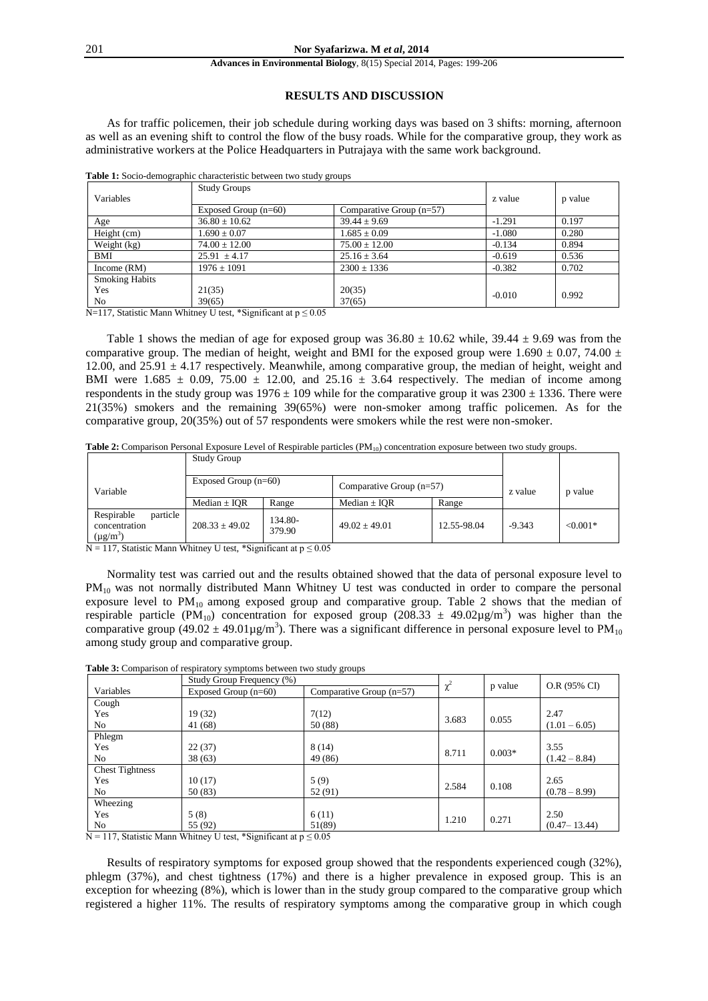# **RESULTS AND DISCUSSION**

As for traffic policemen, their job schedule during working days was based on 3 shifts: morning, afternoon as well as an evening shift to control the flow of the busy roads. While for the comparative group, they work as administrative workers at the Police Headquarters in Putrajaya with the same work background.

|                       | <b>Study Groups</b> | Comparative Group $(n=57)$<br>Exposed Group $(n=60)$ |          |       |  |
|-----------------------|---------------------|------------------------------------------------------|----------|-------|--|
| Variables             |                     |                                                      |          |       |  |
|                       |                     |                                                      |          |       |  |
| Age                   | $36.80 \pm 10.62$   | $39.44 \pm 9.69$                                     | $-1.291$ | 0.197 |  |
| Height (cm)           | $1.690 \pm 0.07$    | $1.685 \pm 0.09$                                     | $-1.080$ | 0.280 |  |
| Weight (kg)           | $74.00 \pm 12.00$   | $75.00 \pm 12.00$                                    | $-0.134$ | 0.894 |  |
| <b>BMI</b>            | $25.91 \pm 4.17$    | $25.16 \pm 3.64$                                     | $-0.619$ | 0.536 |  |
| Income $(RM)$         | $1976 \pm 1091$     | $2300 \pm 1336$                                      | $-0.382$ | 0.702 |  |
| <b>Smoking Habits</b> |                     |                                                      |          |       |  |
| Yes                   | 21(35)              | 20(35)                                               | $-0.010$ | 0.992 |  |
| No                    | 39(65)              | 37(65)                                               |          |       |  |

**Table 1:** Socio-demographic characteristic between two study groups

N=117, Statistic Mann Whitney U test, \*Significant at  $p \le 0.05$ 

Table 1 shows the median of age for exposed group was  $36.80 \pm 10.62$  while,  $39.44 \pm 9.69$  was from the comparative group. The median of height, weight and BMI for the exposed group were 1.690  $\pm$  0.07, 74.00  $\pm$ 12.00, and  $25.91 \pm 4.17$  respectively. Meanwhile, among comparative group, the median of height, weight and BMI were 1.685  $\pm$  0.09, 75.00  $\pm$  12.00, and 25.16  $\pm$  3.64 respectively. The median of income among respondents in the study group was  $1976 \pm 109$  while for the comparative group it was  $2300 \pm 1336$ . There were 21(35%) smokers and the remaining 39(65%) were non-smoker among traffic policemen. As for the comparative group, 20(35%) out of 57 respondents were smokers while the rest were non-smoker.

Table 2: Comparison Personal Exposure Level of Respirable particles (PM<sub>10</sub>) concentration exposure between two study groups.

|                                                          | <b>Study Group</b>     |                   |                            |             |          |            |
|----------------------------------------------------------|------------------------|-------------------|----------------------------|-------------|----------|------------|
| Variable                                                 | Exposed Group $(n=60)$ |                   | Comparative Group $(n=57)$ |             | z value  | p value    |
|                                                          | Median ± IQR           | Range             | Median $\pm$ IOR           | Range       |          |            |
| particle<br>Respirable<br>concentration<br>$(\mu g/m^3)$ | $208.33 \pm 49.02$     | 134.80-<br>379.90 | $49.02 \pm 49.01$          | 12.55-98.04 | $-9.343$ | $< 0.001*$ |

 $N = 117$ , Statistic Mann Whitney U test, \*Significant at  $p \le 0.05$ 

Normality test was carried out and the results obtained showed that the data of personal exposure level to PM<sub>10</sub> was not normally distributed Mann Whitney U test was conducted in order to compare the personal exposure level to  $PM_{10}$  among exposed group and comparative group. Table 2 shows that the median of respirable particle (PM<sub>10</sub>) concentration for exposed group (208.33  $\pm$  49.02 $\mu$ g/m<sup>3</sup>) was higher than the comparative group (49.02  $\pm$  49.01 µg/m<sup>3</sup>). There was a significant difference in personal exposure level to PM<sub>10</sub> among study group and comparative group.

|                        | Study Group Frequency (%) |                            |          |          |                  |
|------------------------|---------------------------|----------------------------|----------|----------|------------------|
| Variables              | Exposed Group $(n=60)$    | Comparative Group $(n=57)$ | $\chi^2$ | p value  | O.R (95% CI)     |
| Cough                  |                           |                            |          |          |                  |
| Yes                    | 19 (32)                   | 7(12)                      | 3.683    | 0.055    | 2.47             |
| No                     | 41 (68)                   | 50 (88)                    |          |          | $(1.01 - 6.05)$  |
| Phlegm                 |                           |                            |          |          |                  |
| Yes                    | 22(37)                    | 8(14)                      | 8.711    | $0.003*$ | 3.55             |
| No                     | 38(63)                    | 49 (86)                    |          |          | $(1.42 - 8.84)$  |
| <b>Chest Tightness</b> |                           |                            |          |          |                  |
| Yes                    | 10(17)                    | 5(9)                       | 2.584    | 0.108    | 2.65             |
| No                     | 50 (83)                   | 52 (91)                    |          |          | $(0.78 - 8.99)$  |
| Wheezing               |                           |                            |          |          |                  |
| Yes                    | 5(8)                      | 6(11)                      | 1.210    | 0.271    | 2.50             |
| No                     | 55 (92)                   | 51(89)                     |          |          | $(0.47 - 13.44)$ |

**Table 3:** Comparison of respiratory symptoms between two study groups

 $N = 117$ , Statistic Mann Whitney U test, \*Significant at  $p \le 0.05$ 

Results of respiratory symptoms for exposed group showed that the respondents experienced cough (32%), phlegm (37%), and chest tightness (17%) and there is a higher prevalence in exposed group. This is an exception for wheezing (8%), which is lower than in the study group compared to the comparative group which registered a higher 11%. The results of respiratory symptoms among the comparative group in which cough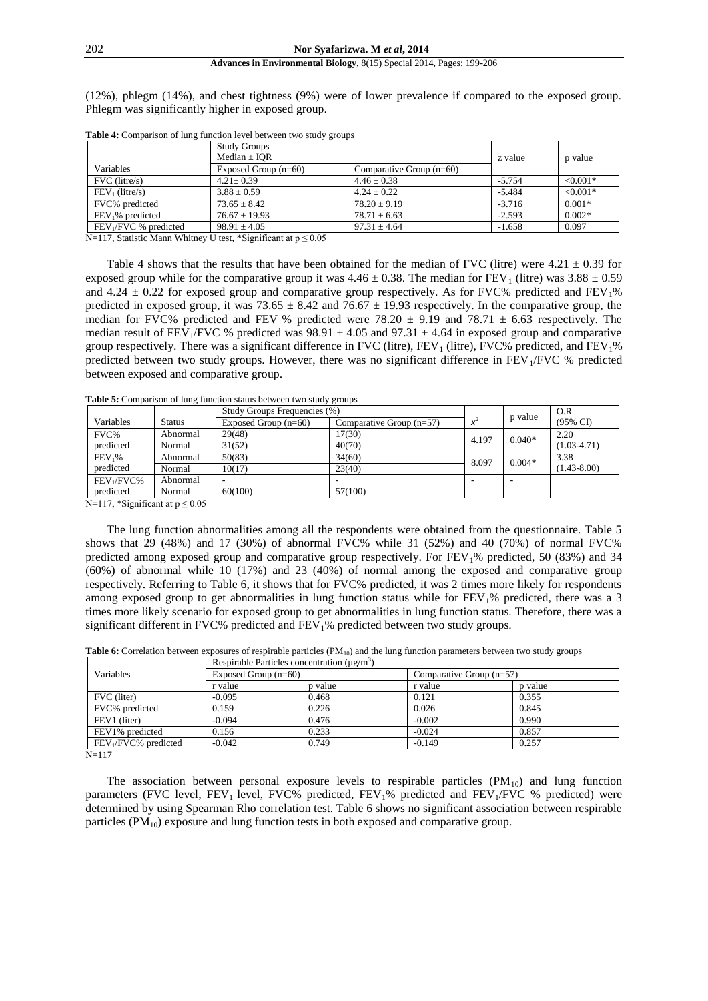(12%), phlegm (14%), and chest tightness (9%) were of lower prevalence if compared to the exposed group. Phlegm was significantly higher in exposed group.

|                                                                | <b>Study Groups</b>                                                                                                                                                                                                                                                                                                                |                            |          |            |
|----------------------------------------------------------------|------------------------------------------------------------------------------------------------------------------------------------------------------------------------------------------------------------------------------------------------------------------------------------------------------------------------------------|----------------------------|----------|------------|
|                                                                | Median $\pm$ IOR                                                                                                                                                                                                                                                                                                                   | z value                    | p value  |            |
| Variables                                                      | Exposed Group $(n=60)$                                                                                                                                                                                                                                                                                                             | Comparative Group $(n=60)$ |          |            |
| $FVC$ (litre/s)                                                | $4.21 \pm 0.39$                                                                                                                                                                                                                                                                                                                    | $4.46 \pm 0.38$            | $-5.754$ | $< 0.001*$ |
| $FEV_1$ (litre/s)                                              | $3.88 + 0.59$                                                                                                                                                                                                                                                                                                                      | $4.24 + 0.22$              | $-5.484$ | $< 0.001*$ |
| FVC% predicted                                                 | $73.65 + 8.42$                                                                                                                                                                                                                                                                                                                     | $78.20 + 9.19$             | $-3.716$ | $0.001*$   |
| $FEV1%$ predicted                                              | $76.67 + 19.93$                                                                                                                                                                                                                                                                                                                    | $78.71 \pm 6.63$           | $-2.593$ | $0.002*$   |
| $FEV1/FVC$ % predicted                                         | $98.91 + 4.05$                                                                                                                                                                                                                                                                                                                     | $97.31 + 4.64$             | $-1.658$ | 0.097      |
| $\mathbf{v}$ and $\mathbf{v}$ is $\mathbf{v}$ and $\mathbf{v}$ | $\mathbf{r}$ $\mathbf{r}$ $\mathbf{r}$ $\mathbf{r}$ $\mathbf{r}$ $\mathbf{r}$ $\mathbf{r}$ $\mathbf{r}$ $\mathbf{r}$ $\mathbf{r}$ $\mathbf{r}$ $\mathbf{r}$ $\mathbf{r}$ $\mathbf{r}$ $\mathbf{r}$ $\mathbf{r}$ $\mathbf{r}$ $\mathbf{r}$ $\mathbf{r}$ $\mathbf{r}$ $\mathbf{r}$ $\mathbf{r}$ $\mathbf{r}$ $\mathbf{r}$ $\mathbf{$ |                            |          |            |

**Table 4:** Comparison of lung function level between two study groups

N=117, Statistic Mann Whitney U test, \*Significant at  $p \le 0.05$ 

Table 4 shows that the results that have been obtained for the median of FVC (litre) were  $4.21 \pm 0.39$  for exposed group while for the comparative group it was  $4.46 \pm 0.38$ . The median for FEV<sub>1</sub> (litre) was  $3.88 \pm 0.59$ and  $4.24 \pm 0.22$  for exposed group and comparative group respectively. As for FVC% predicted and FEV<sub>1</sub>% predicted in exposed group, it was  $73.65 \pm 8.42$  and  $76.67 \pm 19.93$  respectively. In the comparative group, the median for FVC% predicted and FEV<sub>1</sub>% predicted were 78.20  $\pm$  9.19 and 78.71  $\pm$  6.63 respectively. The median result of FEV<sub>1</sub>/FVC % predicted was  $98.91 \pm 4.05$  and  $97.31 \pm 4.64$  in exposed group and comparative group respectively. There was a significant difference in FVC (litre), FEV<sub>1</sub> (litre), FVC% predicted, and FEV<sub>1</sub>% predicted between two study groups. However, there was no significant difference in FEV<sub>1</sub>/FVC % predicted between exposed and comparative group.

**Table 5:** Comparison of lung function status between two study groups

|                                                |                                           | Study Groups Frequencies (%) |                            |       | p value  | O.R             |
|------------------------------------------------|-------------------------------------------|------------------------------|----------------------------|-------|----------|-----------------|
| Variables                                      | Status                                    | Exposed Group $(n=60)$       | Comparative Group $(n=57)$ |       |          | (95% CI)        |
| FVC%                                           | Abnormal                                  | 29(48)                       | 17(30)                     | 4.197 | $0.040*$ | 2.20            |
| predicted                                      | Normal                                    | 31(52)                       | 40(70)                     |       |          | $(1.03-4.71)$   |
| FEV <sub>1</sub> %                             | Abnormal                                  | 50(83)                       | 34(60)                     | 8.097 | $0.004*$ | 3.38            |
| predicted                                      | Normal                                    | 10(17)                       | 23(40)                     |       |          | $(1.43 - 8.00)$ |
| FEV <sub>1</sub> /FVC%                         | Abnormal                                  | -                            |                            |       |          |                 |
| predicted                                      | Normal                                    | 60(100)                      | 57(100)                    |       |          |                 |
| $\mathbf{v}$ and $\mathbf{v}$ and $\mathbf{v}$ | $\sim$ $\sim$ $\sim$ $\sim$ $\sim$ $\sim$ |                              |                            |       |          |                 |

 $N=117$ , \*Significant at  $p \le 0.05$ 

The lung function abnormalities among all the respondents were obtained from the questionnaire. Table 5 shows that 29 (48%) and 17 (30%) of abnormal FVC% while  $31$  (52%) and 40 (70%) of normal FVC% predicted among exposed group and comparative group respectively. For  $FEV_1\%$  predicted, 50 (83%) and 34 (60%) of abnormal while 10 (17%) and 23 (40%) of normal among the exposed and comparative group respectively. Referring to Table 6, it shows that for FVC% predicted, it was 2 times more likely for respondents among exposed group to get abnormalities in lung function status while for  $FEV<sub>1</sub>%$  predicted, there was a 3 times more likely scenario for exposed group to get abnormalities in lung function status. Therefore, there was a significant different in FVC% predicted and FEV<sub>1</sub>% predicted between two study groups.

Table 6: Correlation between exposures of respirable particles (PM<sub>10</sub>) and the lung function parameters between two study groups

|                                  | Respirable Particles concentration $(\mu g/m^3)$ |         |                            |         |  |  |
|----------------------------------|--------------------------------------------------|---------|----------------------------|---------|--|--|
| Variables                        | Exposed Group $(n=60)$                           |         | Comparative Group $(n=57)$ |         |  |  |
|                                  | r value                                          | p value | r value                    | p value |  |  |
| FVC (liter)                      | $-0.095$                                         | 0.468   | 0.121                      | 0.355   |  |  |
| FVC% predicted                   | 0.159                                            | 0.226   | 0.026                      | 0.845   |  |  |
| FEV1 (liter)                     | $-0.094$                                         | 0.476   | $-0.002$                   | 0.990   |  |  |
| FEV1% predicted                  | 0.156                                            | 0.233   | $-0.024$                   | 0.857   |  |  |
| FEV <sub>1</sub> /FVC% predicted | $-0.042$                                         | 0.749   | $-0.149$                   | 0.257   |  |  |

 $N=117$ 

The association between personal exposure levels to respirable particles  $(PM_{10})$  and lung function parameters (FVC level, FEV<sub>1</sub> level, FVC% predicted, FEV<sub>1</sub>% predicted and FEV<sub>1</sub>/FVC % predicted) were determined by using Spearman Rho correlation test. Table 6 shows no significant association between respirable particles  $(PM_{10})$  exposure and lung function tests in both exposed and comparative group.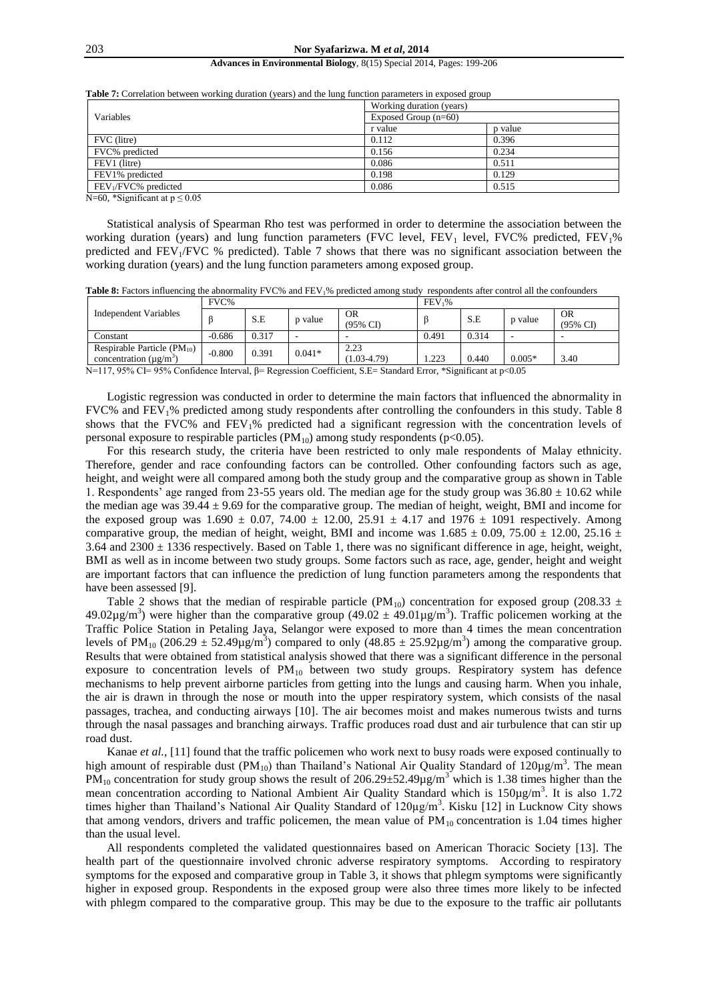|                                  |                        | Working duration (years) |  |  |  |  |
|----------------------------------|------------------------|--------------------------|--|--|--|--|
| Variables                        | Exposed Group $(n=60)$ |                          |  |  |  |  |
|                                  | r value                | p value                  |  |  |  |  |
| FVC (litre)                      | 0.112                  | 0.396                    |  |  |  |  |
| FVC% predicted                   | 0.156                  | 0.234                    |  |  |  |  |
| FEV1 (litre)                     | 0.086                  | 0.511                    |  |  |  |  |
| FEV1% predicted                  | 0.198                  | 0.129                    |  |  |  |  |
| FEV <sub>1</sub> /FVC% predicted | 0.086                  | 0.515                    |  |  |  |  |

**Table 7:** Correlation between working duration (years) and the lung function parameters in exposed group

N=60, \*Significant at  $p \le 0.05$ 

Statistical analysis of Spearman Rho test was performed in order to determine the association between the working duration (years) and lung function parameters (FVC level, FEV<sub>1</sub> level, FVC% predicted, FEV<sub>1</sub>% predicted and FEV<sub>1</sub>/FVC % predicted). Table 7 shows that there was no significant association between the working duration (years) and the lung function parameters among exposed group.

Table 8: Factors influencing the abnormality FVC% and FEV<sub>1</sub>% predicted among study respondents after control all the confounders

|                                                                      | FVC%     |       |          | FEV <sub>1</sub> %      |       |       |          |                                  |
|----------------------------------------------------------------------|----------|-------|----------|-------------------------|-------|-------|----------|----------------------------------|
| Independent Variables                                                |          | S.E   | p value  | <b>OR</b><br>(95% CI)   |       | S.E   | p value  | <b>OR</b><br>$(95\% \text{ C}D)$ |
| Constant                                                             | $-0.686$ | 0.317 |          |                         | 0.491 | 0.314 |          |                                  |
| Respirable Particle $(PM_{10})$<br>concentration $(\mu \varrho/m^3)$ | $-0.800$ | 0.391 | $0.041*$ | 2.23<br>$(1.03 - 4.79)$ | 1.223 | 0.440 | $0.005*$ | 3.40                             |

N=117, 95% CI= 95% Confidence Interval, β= Regression Coefficient, S.E= Standard Error, \*Significant at p<0.05

Logistic regression was conducted in order to determine the main factors that influenced the abnormality in FVC% and FEV1% predicted among study respondents after controlling the confounders in this study. Table 8 shows that the FVC% and FEV<sub>1</sub>% predicted had a significant regression with the concentration levels of personal exposure to respirable particles  $(PM_{10})$  among study respondents (p<0.05).

For this research study, the criteria have been restricted to only male respondents of Malay ethnicity. Therefore, gender and race confounding factors can be controlled. Other confounding factors such as age, height, and weight were all compared among both the study group and the comparative group as shown in Table 1. Respondents' age ranged from 23-55 years old. The median age for the study group was  $36.80 \pm 10.62$  while the median age was  $39.44 \pm 9.69$  for the comparative group. The median of height, weight, BMI and income for the exposed group was  $1.690 \pm 0.07$ ,  $74.00 \pm 12.00$ ,  $25.91 \pm 4.17$  and  $1976 \pm 1091$  respectively. Among comparative group, the median of height, weight, BMI and income was  $1.685 \pm 0.09$ , 75.00  $\pm$  12.00, 25.16  $\pm$ 3.64 and  $2300 \pm 1336$  respectively. Based on Table 1, there was no significant difference in age, height, weight, BMI as well as in income between two study groups. Some factors such as race, age, gender, height and weight are important factors that can influence the prediction of lung function parameters among the respondents that have been assessed [9].

Table 2 shows that the median of respirable particle (PM<sub>10</sub>) concentration for exposed group (208.33  $\pm$ 49.02 $\mu$ g/m<sup>3</sup>) were higher than the comparative group (49.02  $\pm$  49.01 $\mu$ g/m<sup>3</sup>). Traffic policemen working at the Traffic Police Station in Petaling Jaya, Selangor were exposed to more than 4 times the mean concentration levels of PM<sub>10</sub> (206.29  $\pm$  52.49µg/m<sup>3</sup>) compared to only (48.85  $\pm$  25.92µg/m<sup>3</sup>) among the comparative group. Results that were obtained from statistical analysis showed that there was a significant difference in the personal exposure to concentration levels of  $PM_{10}$  between two study groups. Respiratory system has defence mechanisms to help prevent airborne particles from getting into the lungs and causing harm. When you inhale, the air is drawn in through the nose or mouth into the upper respiratory system, which consists of the nasal passages, trachea, and conducting airways [10]. The air becomes moist and makes numerous twists and turns through the nasal passages and branching airways. Traffic produces road dust and air turbulence that can stir up road dust.

Kanae *et al.,* [11] found that the traffic policemen who work next to busy roads were exposed continually to high amount of respirable dust (PM<sub>10</sub>) than Thailand's National Air Quality Standard of  $120\mu g/m^3$ . The mean  $PM_{10}$  concentration for study group shows the result of 206.29±52.49 $\mu$ g/m<sup>3</sup> which is 1.38 times higher than the mean concentration according to National Ambient Air Quality Standard which is  $150\mu g/m<sup>3</sup>$ . It is also 1.72 times higher than Thailand's National Air Quality Standard of 120µg/m<sup>3</sup>. Kisku [12] in Lucknow City shows that among vendors, drivers and traffic policemen, the mean value of  $PM_{10}$  concentration is 1.04 times higher than the usual level.

All respondents completed the validated questionnaires based on American Thoracic Society [13]. The health part of the questionnaire involved chronic adverse respiratory symptoms. According to respiratory symptoms for the exposed and comparative group in Table 3, it shows that phlegm symptoms were significantly higher in exposed group. Respondents in the exposed group were also three times more likely to be infected with phlegm compared to the comparative group. This may be due to the exposure to the traffic air pollutants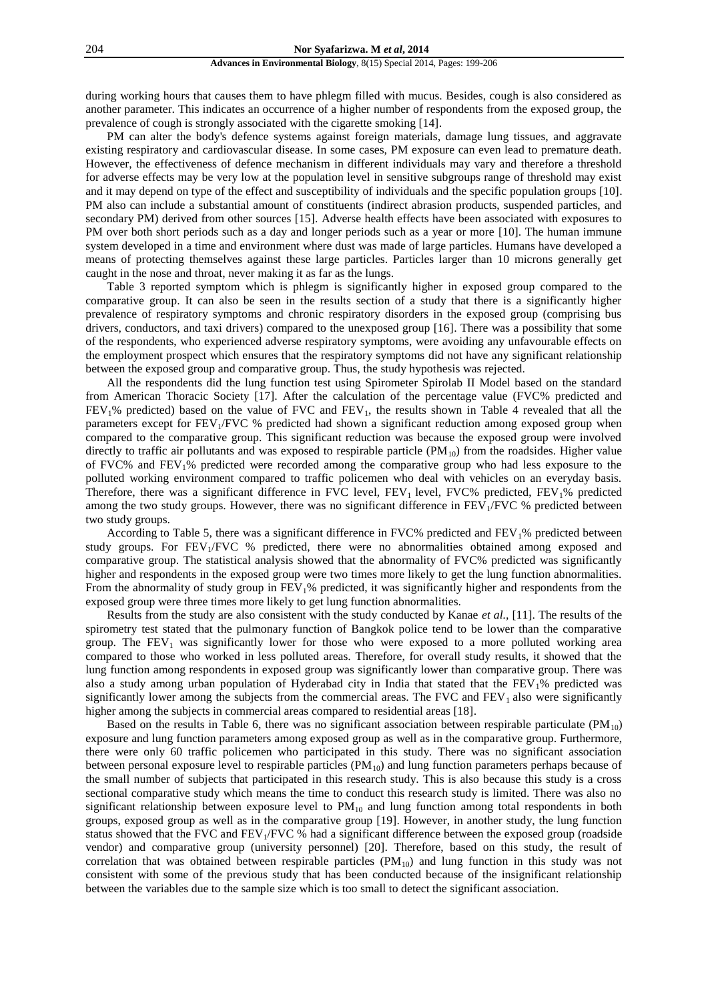during working hours that causes them to have phlegm filled with mucus. Besides, cough is also considered as another parameter. This indicates an occurrence of a higher number of respondents from the exposed group, the prevalence of cough is strongly associated with the cigarette smoking [14].

PM can alter the body's defence systems against foreign materials, damage lung tissues, and aggravate existing respiratory and cardiovascular disease. In some cases, PM exposure can even lead to premature death. However, the effectiveness of defence mechanism in different individuals may vary and therefore a threshold for adverse effects may be very low at the population level in sensitive subgroups range of threshold may exist and it may depend on type of the effect and susceptibility of individuals and the specific population groups [10]. PM also can include a substantial amount of constituents (indirect abrasion products, suspended particles, and secondary PM) derived from other sources [15]. Adverse health effects have been associated with exposures to PM over both short periods such as a day and longer periods such as a year or more [10]. The human immune system developed in a time and environment where dust was made of large particles. Humans have developed a means of protecting themselves against these large particles. Particles larger than 10 microns generally get caught in the nose and throat, never making it as far as the lungs.

Table 3 reported symptom which is phlegm is significantly higher in exposed group compared to the comparative group. It can also be seen in the results section of a study that there is a significantly higher prevalence of respiratory symptoms and chronic respiratory disorders in the exposed group (comprising bus drivers, conductors, and taxi drivers) compared to the unexposed group [16]. There was a possibility that some of the respondents, who experienced adverse respiratory symptoms, were avoiding any unfavourable effects on the employment prospect which ensures that the respiratory symptoms did not have any significant relationship between the exposed group and comparative group. Thus, the study hypothesis was rejected.

All the respondents did the lung function test using Spirometer Spirolab II Model based on the standard from American Thoracic Society [17]. After the calculation of the percentage value (FVC% predicted and  $FEV<sub>1</sub>%$  predicted) based on the value of  $FVC$  and  $FEV<sub>1</sub>$ , the results shown in Table 4 revealed that all the parameters except for  $FEV_1/FVC$  % predicted had shown a significant reduction among exposed group when compared to the comparative group. This significant reduction was because the exposed group were involved directly to traffic air pollutants and was exposed to respirable particle  $(PM_{10})$  from the roadsides. Higher value of FVC% and FEV<sub>1</sub>% predicted were recorded among the comparative group who had less exposure to the polluted working environment compared to traffic policemen who deal with vehicles on an everyday basis. Therefore, there was a significant difference in FVC level,  $FEV<sub>1</sub>$  level,  $FVC$ % predicted,  $FEV<sub>1</sub>$ % predicted among the two study groups. However, there was no significant difference in FEV<sub>1</sub>/FVC % predicted between two study groups.

According to Table 5, there was a significant difference in FVC% predicted and FEV<sub>1</sub>% predicted between study groups. For  $FEV<sub>1</sub>/FVC$  % predicted, there were no abnormalities obtained among exposed and comparative group. The statistical analysis showed that the abnormality of FVC% predicted was significantly higher and respondents in the exposed group were two times more likely to get the lung function abnormalities. From the abnormality of study group in  $FEV<sub>1</sub>%$  predicted, it was significantly higher and respondents from the exposed group were three times more likely to get lung function abnormalities.

Results from the study are also consistent with the study conducted by Kanae *et al.,* [11]. The results of the spirometry test stated that the pulmonary function of Bangkok police tend to be lower than the comparative group. The  $FEV<sub>1</sub>$  was significantly lower for those who were exposed to a more polluted working area compared to those who worked in less polluted areas. Therefore, for overall study results, it showed that the lung function among respondents in exposed group was significantly lower than comparative group. There was also a study among urban population of Hyderabad city in India that stated that the FEV1% predicted was significantly lower among the subjects from the commercial areas. The FVC and  $FEV<sub>1</sub>$  also were significantly higher among the subjects in commercial areas compared to residential areas [18].

Based on the results in Table 6, there was no significant association between respirable particulate  $(PM_{10})$ exposure and lung function parameters among exposed group as well as in the comparative group. Furthermore, there were only 60 traffic policemen who participated in this study. There was no significant association between personal exposure level to respirable particles  $(PM_{10})$  and lung function parameters perhaps because of the small number of subjects that participated in this research study. This is also because this study is a cross sectional comparative study which means the time to conduct this research study is limited. There was also no significant relationship between exposure level to  $PM_{10}$  and lung function among total respondents in both groups, exposed group as well as in the comparative group [19]. However, in another study, the lung function status showed that the FVC and FEV<sub>1</sub>/FVC % had a significant difference between the exposed group (roadside vendor) and comparative group (university personnel) [20]. Therefore, based on this study, the result of correlation that was obtained between respirable particles  $(PM_{10})$  and lung function in this study was not consistent with some of the previous study that has been conducted because of the insignificant relationship between the variables due to the sample size which is too small to detect the significant association.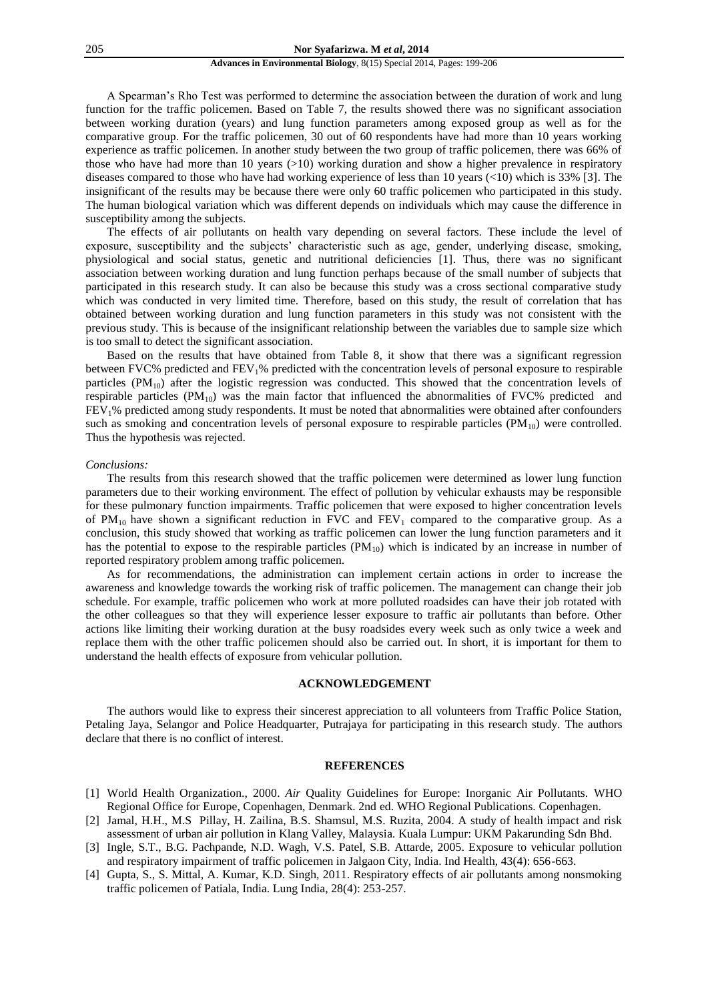#### 205 **Nor Syafarizwa. M** *et al***, 2014**

# **Advances in Environmental Biology**, 8(15) Special 2014, Pages: 199-206

A Spearman's Rho Test was performed to determine the association between the duration of work and lung function for the traffic policemen. Based on Table 7, the results showed there was no significant association between working duration (years) and lung function parameters among exposed group as well as for the comparative group. For the traffic policemen, 30 out of 60 respondents have had more than 10 years working experience as traffic policemen. In another study between the two group of traffic policemen, there was 66% of those who have had more than 10 years  $(>10)$  working duration and show a higher prevalence in respiratory diseases compared to those who have had working experience of less than 10 years (<10) which is 33% [3]. The insignificant of the results may be because there were only 60 traffic policemen who participated in this study. The human biological variation which was different depends on individuals which may cause the difference in susceptibility among the subjects.

The effects of air pollutants on health vary depending on several factors. These include the level of exposure, susceptibility and the subjects' characteristic such as age, gender, underlying disease, smoking, physiological and social status, genetic and nutritional deficiencies [1]. Thus, there was no significant association between working duration and lung function perhaps because of the small number of subjects that participated in this research study. It can also be because this study was a cross sectional comparative study which was conducted in very limited time. Therefore, based on this study, the result of correlation that has obtained between working duration and lung function parameters in this study was not consistent with the previous study. This is because of the insignificant relationship between the variables due to sample size which is too small to detect the significant association.

Based on the results that have obtained from Table 8, it show that there was a significant regression between FVC% predicted and FEV1% predicted with the concentration levels of personal exposure to respirable particles  $(PM_{10})$  after the logistic regression was conducted. This showed that the concentration levels of respirable particles  $(PM_{10})$  was the main factor that influenced the abnormalities of FVC% predicted and FEV1% predicted among study respondents. It must be noted that abnormalities were obtained after confounders such as smoking and concentration levels of personal exposure to respirable particles  $(PM_{10})$  were controlled. Thus the hypothesis was rejected.

# *Conclusions:*

The results from this research showed that the traffic policemen were determined as lower lung function parameters due to their working environment. The effect of pollution by vehicular exhausts may be responsible for these pulmonary function impairments. Traffic policemen that were exposed to higher concentration levels of  $PM_{10}$  have shown a significant reduction in FVC and  $FEV_1$  compared to the comparative group. As a conclusion, this study showed that working as traffic policemen can lower the lung function parameters and it has the potential to expose to the respirable particles  $(PM_{10})$  which is indicated by an increase in number of reported respiratory problem among traffic policemen.

As for recommendations, the administration can implement certain actions in order to increase the awareness and knowledge towards the working risk of traffic policemen. The management can change their job schedule. For example, traffic policemen who work at more polluted roadsides can have their job rotated with the other colleagues so that they will experience lesser exposure to traffic air pollutants than before. Other actions like limiting their working duration at the busy roadsides every week such as only twice a week and replace them with the other traffic policemen should also be carried out. In short, it is important for them to understand the health effects of exposure from vehicular pollution.

# **ACKNOWLEDGEMENT**

The authors would like to express their sincerest appreciation to all volunteers from Traffic Police Station, Petaling Jaya, Selangor and Police Headquarter, Putrajaya for participating in this research study. The authors declare that there is no conflict of interest.

## **REFERENCES**

- [1] World Health Organization., 2000. *Air* Quality Guidelines for Europe: Inorganic Air Pollutants. WHO Regional Office for Europe, Copenhagen, Denmark. 2nd ed. WHO Regional Publications. Copenhagen.
- [2] Jamal, H.H., M.S Pillay, H. Zailina, B.S. Shamsul, M.S. Ruzita, 2004. A study of health impact and risk assessment of urban air pollution in Klang Valley, Malaysia*.* Kuala Lumpur: UKM Pakarunding Sdn Bhd.
- [3] Ingle, S.T., B.G. Pachpande, N.D. Wagh, V.S. Patel, S.B. Attarde, 2005. Exposure to vehicular pollution and respiratory impairment of traffic policemen in Jalgaon City, India. Ind Health, 43(4): 656-663.
- [4] Gupta, S., S. Mittal, A. Kumar, K.D. Singh, 2011. Respiratory effects of air pollutants among nonsmoking traffic policemen of Patiala, India. Lung India, 28(4): 253-257.